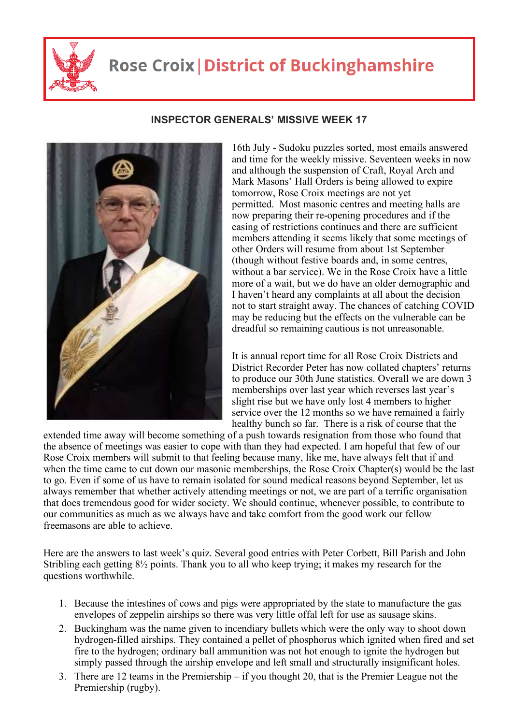

## **Rose Croix | District of Buckinghamshire**



## **INSPECTOR GENERALS' MISSIVE WEEK 17**

16th July - Sudoku puzzles sorted, most emails answered and time for the weekly missive. Seventeen weeks in now and although the suspension of Craft, Royal Arch and Mark Masons' Hall Orders is being allowed to expire tomorrow, Rose Croix meetings are not yet permitted. Most masonic centres and meeting halls are now preparing their re-opening procedures and if the easing of restrictions continues and there are sufficient members attending it seems likely that some meetings of other Orders will resume from about 1st September (though without festive boards and, in some centres, without a bar service). We in the Rose Croix have a little more of a wait, but we do have an older demographic and I haven't heard any complaints at all about the decision not to start straight away. The chances of catching COVID may be reducing but the effects on the vulnerable can be dreadful so remaining cautious is not unreasonable.

It is annual report time for all Rose Croix Districts and District Recorder Peter has now collated chapters' returns to produce our 30th June statistics. Overall we are down 3 memberships over last year which reverses last year's slight rise but we have only lost 4 members to higher service over the 12 months so we have remained a fairly healthy bunch so far. There is a risk of course that the

extended time away will become something of a push towards resignation from those who found that the absence of meetings was easier to cope with than they had expected. I am hopeful that few of our Rose Croix members will submit to that feeling because many, like me, have always felt that if and when the time came to cut down our masonic memberships, the Rose Croix Chapter(s) would be the last to go. Even if some of us have to remain isolated for sound medical reasons beyond September, let us always remember that whether actively attending meetings or not, we are part of a terrific organisation that does tremendous good for wider society. We should continue, whenever possible, to contribute to our communities as much as we always have and take comfort from the good work our fellow freemasons are able to achieve.

Here are the answers to last week's quiz. Several good entries with Peter Corbett, Bill Parish and John Stribling each getting 8½ points. Thank you to all who keep trying; it makes my research for the questions worthwhile.

- 1. Because the intestines of cows and pigs were appropriated by the state to manufacture the gas envelopes of zeppelin airships so there was very little offal left for use as sausage skins.
- 2. Buckingham was the name given to incendiary bullets which were the only way to shoot down hydrogen-filled airships. They contained a pellet of phosphorus which ignited when fired and set fire to the hydrogen; ordinary ball ammunition was not hot enough to ignite the hydrogen but simply passed through the airship envelope and left small and structurally insignificant holes.
- 3. There are 12 teams in the Premiership if you thought 20, that is the Premier League not the Premiership (rugby).